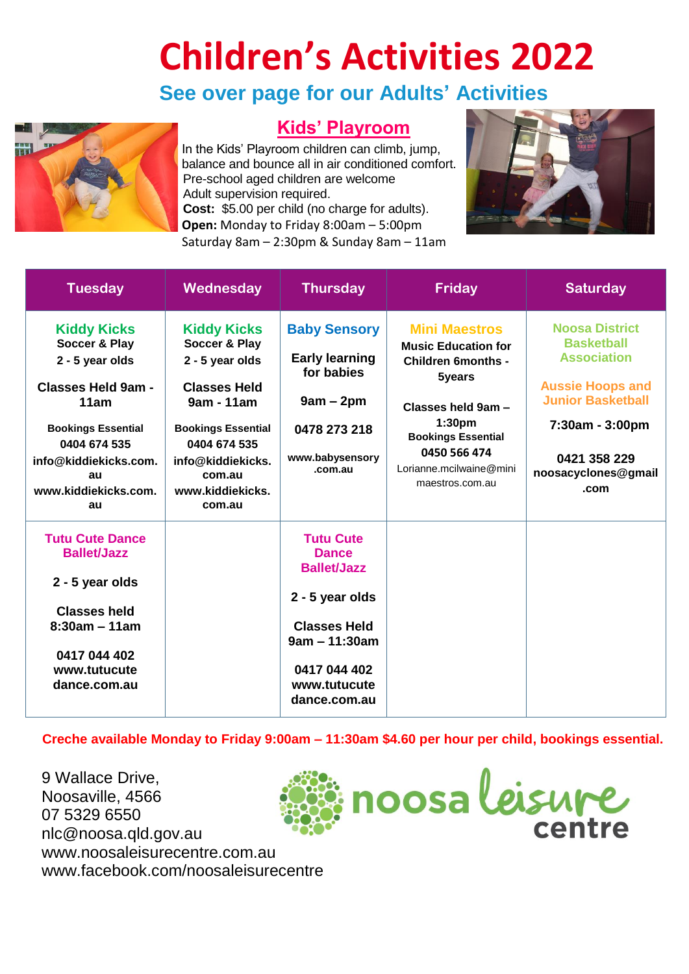## **Children's Activities 2022**

## **See over page for our Adults' Activities**



## **Kids' Playroom**

In the Kids' Playroom children can climb, jump, balance and bounce all in air conditioned comfort. Pre-school aged children are welcome Adult supervision required. **Cost:** \$5.00 per child (no charge for adults). **Open:** Monday to Friday 8:00am – 5:00pm Saturday 8am – 2:30pm & Sunday 8am – 11am



| <b>Tuesday</b>                                                                                                                                                                                        | Wednesday                                                                                                                                                                                             | <b>Thursday</b>                                                                                                                                                     | <b>Friday</b>                                                                                                                                                                                                                    | <b>Saturday</b>                                                                                                                                                                           |
|-------------------------------------------------------------------------------------------------------------------------------------------------------------------------------------------------------|-------------------------------------------------------------------------------------------------------------------------------------------------------------------------------------------------------|---------------------------------------------------------------------------------------------------------------------------------------------------------------------|----------------------------------------------------------------------------------------------------------------------------------------------------------------------------------------------------------------------------------|-------------------------------------------------------------------------------------------------------------------------------------------------------------------------------------------|
| <b>Kiddy Kicks</b><br>Soccer & Play<br>2 - 5 year olds<br><b>Classes Held 9am -</b><br>11am<br><b>Bookings Essential</b><br>0404 674 535<br>info@kiddiekicks.com.<br>au<br>www.kiddiekicks.com.<br>au | <b>Kiddy Kicks</b><br>Soccer & Play<br>2 - 5 year olds<br><b>Classes Held</b><br>9am - 11am<br><b>Bookings Essential</b><br>0404 674 535<br>info@kiddiekicks.<br>com.au<br>www.kiddiekicks.<br>com.au | <b>Baby Sensory</b><br><b>Early learning</b><br>for babies<br>$9am - 2pm$<br>0478 273 218<br>www.babysensory<br>.com.au                                             | <b>Mini Maestros</b><br><b>Music Education for</b><br><b>Children 6months -</b><br>5years<br>Classes held 9am -<br>1:30 <sub>pm</sub><br><b>Bookings Essential</b><br>0450 566 474<br>Lorianne.mcilwaine@mini<br>maestros.com.au | <b>Noosa District</b><br><b>Basketball</b><br><b>Association</b><br><b>Aussie Hoops and</b><br><b>Junior Basketball</b><br>7:30am - 3:00pm<br>0421 358 229<br>noosacyclones@gmail<br>.com |
| <b>Tutu Cute Dance</b><br><b>Ballet/Jazz</b><br>2 - 5 year olds<br><b>Classes held</b><br>$8:30am - 11am$<br>0417 044 402<br>www.tutucute<br>dance.com.au                                             |                                                                                                                                                                                                       | <b>Tutu Cute</b><br><b>Dance</b><br><b>Ballet/Jazz</b><br>2 - 5 year olds<br><b>Classes Held</b><br>$9am - 11:30am$<br>0417 044 402<br>www.tutucute<br>dance.com.au |                                                                                                                                                                                                                                  |                                                                                                                                                                                           |

**Creche available Monday to Friday 9:00am – 11:30am \$4.60 per hour per child, bookings essential.**

9 Wallace Drive, Noosaville, 4566 07 5329 6550 nlc@noosa.qld.gov.au www.noosaleisurecentre.com.au [www.facebook.com/noosaleisurecentre](http://www.facebook.com/noosaleisurecentre)